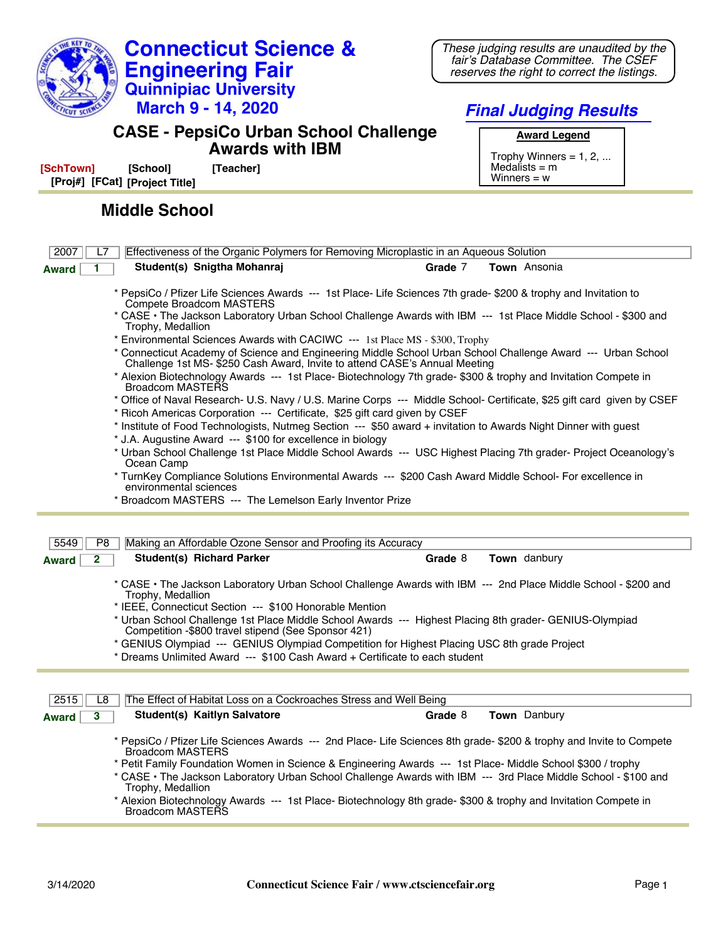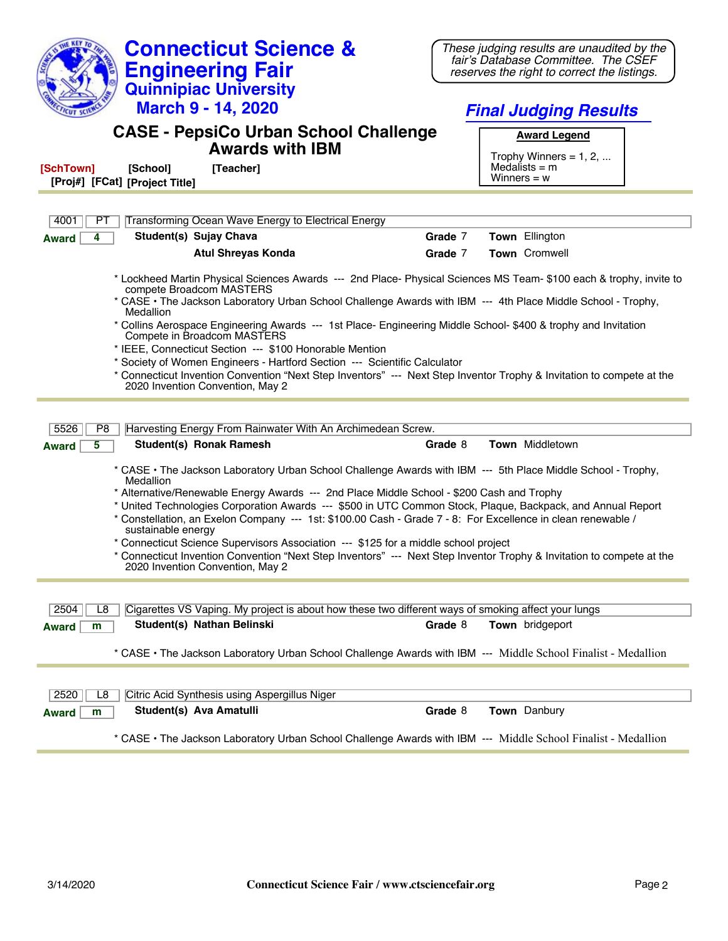| <b>Connecticut Science &amp;</b><br><b>Engineering Fair</b>                                                                                                                                                                                                                                                                                                                                                                                                                                                                                                                                                                                                                                                                        | These judging results are unaudited by the<br>fair's Database Committee. The CSEF<br>reserves the right to correct the listings. |
|------------------------------------------------------------------------------------------------------------------------------------------------------------------------------------------------------------------------------------------------------------------------------------------------------------------------------------------------------------------------------------------------------------------------------------------------------------------------------------------------------------------------------------------------------------------------------------------------------------------------------------------------------------------------------------------------------------------------------------|----------------------------------------------------------------------------------------------------------------------------------|
| <b>Quinnipiac University</b><br><b>March 9 - 14, 2020</b>                                                                                                                                                                                                                                                                                                                                                                                                                                                                                                                                                                                                                                                                          | <b>Final Judging Results</b>                                                                                                     |
| <b>CASE - PepsiCo Urban School Challenge</b><br><b>Awards with IBM</b><br>[SchTown]<br>[School]<br>[Teacher]<br>[Proj#] [FCat] [Project Title]                                                                                                                                                                                                                                                                                                                                                                                                                                                                                                                                                                                     | <b>Award Legend</b><br>Trophy Winners = $1, 2, $<br>Medalists $=$ m<br>Winners $= w$                                             |
|                                                                                                                                                                                                                                                                                                                                                                                                                                                                                                                                                                                                                                                                                                                                    |                                                                                                                                  |
| Transforming Ocean Wave Energy to Electrical Energy<br>4001<br>РT                                                                                                                                                                                                                                                                                                                                                                                                                                                                                                                                                                                                                                                                  |                                                                                                                                  |
| Student(s) Sujay Chava<br>4<br><b>Award</b>                                                                                                                                                                                                                                                                                                                                                                                                                                                                                                                                                                                                                                                                                        | Grade 7<br>Town Ellington                                                                                                        |
| <b>Atul Shreyas Konda</b>                                                                                                                                                                                                                                                                                                                                                                                                                                                                                                                                                                                                                                                                                                          | <b>Town</b> Cromwell<br>Grade 7                                                                                                  |
| * Lockheed Martin Physical Sciences Awards --- 2nd Place- Physical Sciences MS Team- \$100 each & trophy, invite to<br>compete Broadcom MASTERS<br>* CASE • The Jackson Laboratory Urban School Challenge Awards with IBM --- 4th Place Middle School - Trophy,<br>Medallion<br>* Collins Aerospace Engineering Awards --- 1st Place- Engineering Middle School- \$400 & trophy and Invitation<br>Compete in Broadcom MASTERS<br>* IEEE, Connecticut Section --- \$100 Honorable Mention<br>* Society of Women Engineers - Hartford Section --- Scientific Calculator<br>* Connecticut Invention Convention "Next Step Inventors" --- Next Step Inventor Trophy & Invitation to compete at the<br>2020 Invention Convention, May 2 |                                                                                                                                  |
| 5526<br>Harvesting Energy From Rainwater With An Archimedean Screw.<br>P <sub>8</sub>                                                                                                                                                                                                                                                                                                                                                                                                                                                                                                                                                                                                                                              |                                                                                                                                  |
| Student(s) Ronak Ramesh<br>5<br><b>Award</b>                                                                                                                                                                                                                                                                                                                                                                                                                                                                                                                                                                                                                                                                                       | Town Middletown<br>Grade 8                                                                                                       |
| * CASE · The Jackson Laboratory Urban School Challenge Awards with IBM --- 5th Place Middle School - Trophy,<br>Medallion<br>* Alternative/Renewable Energy Awards --- 2nd Place Middle School - \$200 Cash and Trophy<br>* United Technologies Corporation Awards --- \$500 in UTC Common Stock, Plaque, Backpack, and Annual Report<br>* Constellation, an Exelon Company --- 1st: \$100.00 Cash - Grade 7 - 8: For Excellence in clean renewable /<br>sustainable energy<br>* Connecticut Science Supervisors Association --- \$125 for a middle school project<br>* Connecticut Invention Convention "Next Step Inventors" --- Next Step Inventor Trophy & Invitation to compete at the<br>2020 Invention Convention, May 2    |                                                                                                                                  |
|                                                                                                                                                                                                                                                                                                                                                                                                                                                                                                                                                                                                                                                                                                                                    |                                                                                                                                  |
| 2504<br>Cigarettes VS Vaping. My project is about how these two different ways of smoking affect your lungs<br>L8                                                                                                                                                                                                                                                                                                                                                                                                                                                                                                                                                                                                                  |                                                                                                                                  |
| Student(s) Nathan Belinski<br><b>Award</b><br>m<br>* CASE • The Jackson Laboratory Urban School Challenge Awards with IBM --- Middle School Finalist - Medallion                                                                                                                                                                                                                                                                                                                                                                                                                                                                                                                                                                   | Grade 8<br>Town bridgeport                                                                                                       |
|                                                                                                                                                                                                                                                                                                                                                                                                                                                                                                                                                                                                                                                                                                                                    |                                                                                                                                  |
| 2520<br>Citric Acid Synthesis using Aspergillus Niger<br>L8                                                                                                                                                                                                                                                                                                                                                                                                                                                                                                                                                                                                                                                                        |                                                                                                                                  |

| Student(s) Ava Amatulli<br><b>Town</b> Danbury<br>Grade 8<br>Award   m                                        |  |
|---------------------------------------------------------------------------------------------------------------|--|
| * CASE • The Jackson Laboratory Urban School Challenge Awards with IBM --- Middle School Finalist - Medallion |  |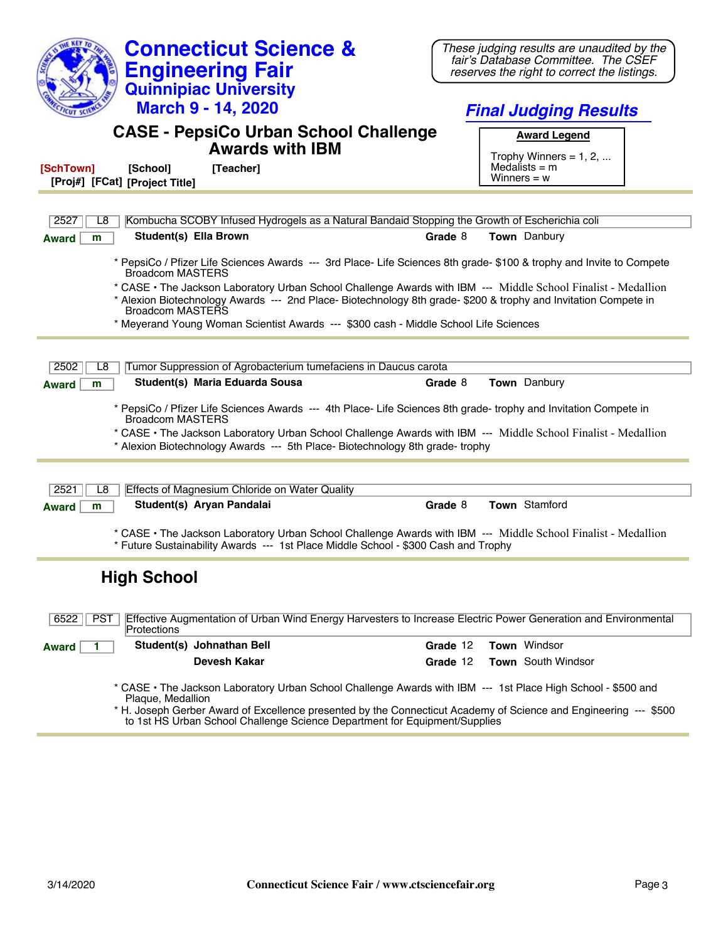| <b>Connecticut Science &amp;</b>                                                                                                                                                                    | These judging results are unaudited by the                                         |
|-----------------------------------------------------------------------------------------------------------------------------------------------------------------------------------------------------|------------------------------------------------------------------------------------|
| <b>Engineering Fair</b>                                                                                                                                                                             | fair's Database Committee. The CSEF<br>reserves the right to correct the listings. |
| <b>Quinnipiac University</b>                                                                                                                                                                        |                                                                                    |
| <b>March 9 - 14, 2020</b>                                                                                                                                                                           | <b>Final Judging Results</b>                                                       |
| <b>CASE - PepsiCo Urban School Challenge</b><br><b>Awards with IBM</b>                                                                                                                              | <b>Award Legend</b><br>Trophy Winners = $1, 2, $                                   |
| [School]<br>[Teacher]<br>[SchTown]<br>[Proj#] [FCat] [Project Title]                                                                                                                                | Medalists $=$ m<br>Winners = $w$                                                   |
|                                                                                                                                                                                                     |                                                                                    |
| 2527<br>Kombucha SCOBY Infused Hydrogels as a Natural Bandaid Stopping the Growth of Escherichia coli<br>L8                                                                                         |                                                                                    |
| Student(s) Ella Brown<br>m<br><b>Award</b>                                                                                                                                                          | Town Danbury<br>Grade 8                                                            |
| * PepsiCo / Pfizer Life Sciences Awards --- 3rd Place- Life Sciences 8th grade- \$100 & trophy and Invite to Compete<br><b>Broadcom MASTERS</b>                                                     |                                                                                    |
| * CASE • The Jackson Laboratory Urban School Challenge Awards with IBM --- Middle School Finalist - Medallion                                                                                       |                                                                                    |
| * Alexion Biotechnology Awards --- 2nd Place- Biotechnology 8th grade- \$200 & trophy and Invitation Compete in<br>Broadcom MASTERS                                                                 |                                                                                    |
| * Meyerand Young Woman Scientist Awards --- \$300 cash - Middle School Life Sciences                                                                                                                |                                                                                    |
|                                                                                                                                                                                                     |                                                                                    |
| 2502<br>Tumor Suppression of Agrobacterium tumefaciens in Daucus carota<br>L8                                                                                                                       |                                                                                    |
| Student(s) Maria Eduarda Sousa<br>m<br><b>Award</b>                                                                                                                                                 | <b>Town</b> Danbury<br>Grade 8                                                     |
|                                                                                                                                                                                                     |                                                                                    |
| * PepsiCo / Pfizer Life Sciences Awards --- 4th Place- Life Sciences 8th grade- trophy and Invitation Compete in<br><b>Broadcom MASTERS</b>                                                         |                                                                                    |
| * CASE • The Jackson Laboratory Urban School Challenge Awards with IBM --- Middle School Finalist - Medallion                                                                                       |                                                                                    |
| * Alexion Biotechnology Awards --- 5th Place- Biotechnology 8th grade- trophy                                                                                                                       |                                                                                    |
|                                                                                                                                                                                                     |                                                                                    |
| 2521<br>Effects of Magnesium Chloride on Water Quality<br>L8                                                                                                                                        |                                                                                    |
| Student(s) Aryan Pandalai<br><b>Award</b><br>m                                                                                                                                                      | Town Stamford<br>Grade 8                                                           |
| * CASE • The Jackson Laboratory Urban School Challenge Awards with IBM --- Middle School Finalist - Medallion<br>* Future Sustainability Awards --- 1st Place Middle School - \$300 Cash and Trophy |                                                                                    |
| <b>High School</b>                                                                                                                                                                                  |                                                                                    |
|                                                                                                                                                                                                     |                                                                                    |
| Effective Augmentation of Urban Wind Energy Harvesters to Increase Electric Power Generation and Environmental<br>6522<br><b>PST</b><br>Protections                                                 |                                                                                    |
| Student(s) Johnathan Bell<br>Award<br>1                                                                                                                                                             | Town Windsor<br>Grade 12                                                           |
| Devesh Kakar                                                                                                                                                                                        | Town South Windsor<br>Grade 12                                                     |

to 1st HS Urban School Challenge Science Department for Equipment/Supplies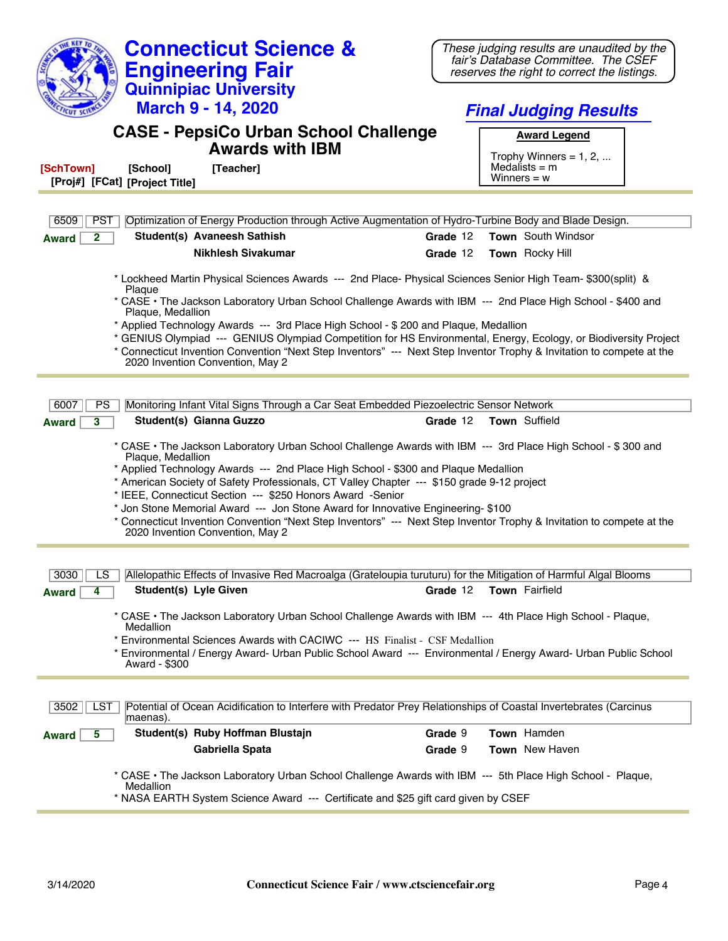| <b>Connecticut Science &amp;</b>                                                                                                                                                                                                                                                                                                                                                                                                                                                                                                                                                                                                     | These judging results are unaudited by the                                         |  |  |
|--------------------------------------------------------------------------------------------------------------------------------------------------------------------------------------------------------------------------------------------------------------------------------------------------------------------------------------------------------------------------------------------------------------------------------------------------------------------------------------------------------------------------------------------------------------------------------------------------------------------------------------|------------------------------------------------------------------------------------|--|--|
| <b>Engineering Fair</b>                                                                                                                                                                                                                                                                                                                                                                                                                                                                                                                                                                                                              | fair's Database Committee. The CSEF<br>reserves the right to correct the listings. |  |  |
| <b>Quinnipiac University</b>                                                                                                                                                                                                                                                                                                                                                                                                                                                                                                                                                                                                         |                                                                                    |  |  |
| <b>March 9 - 14, 2020</b>                                                                                                                                                                                                                                                                                                                                                                                                                                                                                                                                                                                                            | <b>Final Judging Results</b>                                                       |  |  |
| <b>CASE - PepsiCo Urban School Challenge</b>                                                                                                                                                                                                                                                                                                                                                                                                                                                                                                                                                                                         | <b>Award Legend</b>                                                                |  |  |
| <b>Awards with IBM</b>                                                                                                                                                                                                                                                                                                                                                                                                                                                                                                                                                                                                               | Trophy Winners = $1, 2, $                                                          |  |  |
| [SchTown]<br>[School]<br>[Teacher]<br>[Proj#] [FCat] [Project Title]                                                                                                                                                                                                                                                                                                                                                                                                                                                                                                                                                                 | Medalists $=$ m<br>Winners = $w$                                                   |  |  |
|                                                                                                                                                                                                                                                                                                                                                                                                                                                                                                                                                                                                                                      |                                                                                    |  |  |
| 6509<br><b>PST</b><br>Optimization of Energy Production through Active Augmentation of Hydro-Turbine Body and Blade Design.                                                                                                                                                                                                                                                                                                                                                                                                                                                                                                          |                                                                                    |  |  |
| Student(s) Avaneesh Sathish<br>2<br><b>Award</b>                                                                                                                                                                                                                                                                                                                                                                                                                                                                                                                                                                                     | Town South Windsor<br>Grade 12                                                     |  |  |
| Nikhlesh Sivakumar                                                                                                                                                                                                                                                                                                                                                                                                                                                                                                                                                                                                                   | Grade 12<br>Town Rocky Hill                                                        |  |  |
| * Lockheed Martin Physical Sciences Awards --- 2nd Place- Physical Sciences Senior High Team- \$300(split) &                                                                                                                                                                                                                                                                                                                                                                                                                                                                                                                         |                                                                                    |  |  |
| Plaque<br>* CASE • The Jackson Laboratory Urban School Challenge Awards with IBM --- 2nd Place High School - \$400 and<br>Plaque, Medallion                                                                                                                                                                                                                                                                                                                                                                                                                                                                                          |                                                                                    |  |  |
| * Applied Technology Awards --- 3rd Place High School - \$ 200 and Plaque, Medallion<br>* GENIUS Olympiad --- GENIUS Olympiad Competition for HS Environmental, Energy, Ecology, or Biodiversity Project                                                                                                                                                                                                                                                                                                                                                                                                                             |                                                                                    |  |  |
| * Connecticut Invention Convention "Next Step Inventors" --- Next Step Inventor Trophy & Invitation to compete at the<br>2020 Invention Convention, May 2                                                                                                                                                                                                                                                                                                                                                                                                                                                                            |                                                                                    |  |  |
|                                                                                                                                                                                                                                                                                                                                                                                                                                                                                                                                                                                                                                      |                                                                                    |  |  |
| Monitoring Infant Vital Signs Through a Car Seat Embedded Piezoelectric Sensor Network<br>6007<br>PS                                                                                                                                                                                                                                                                                                                                                                                                                                                                                                                                 |                                                                                    |  |  |
| Student(s) Gianna Guzzo<br>3<br><b>Award</b>                                                                                                                                                                                                                                                                                                                                                                                                                                                                                                                                                                                         | Grade 12<br><b>Town Suffield</b>                                                   |  |  |
| * CASE · The Jackson Laboratory Urban School Challenge Awards with IBM --- 3rd Place High School - \$300 and<br>Plaque, Medallion<br>* Applied Technology Awards --- 2nd Place High School - \$300 and Plaque Medallion<br>* American Society of Safety Professionals, CT Valley Chapter --- \$150 grade 9-12 project<br>* IEEE, Connecticut Section --- \$250 Honors Award -Senior<br>* Jon Stone Memorial Award --- Jon Stone Award for Innovative Engineering- \$100<br>* Connecticut Invention Convention "Next Step Inventors" --- Next Step Inventor Trophy & Invitation to compete at the<br>2020 Invention Convention, May 2 |                                                                                    |  |  |
|                                                                                                                                                                                                                                                                                                                                                                                                                                                                                                                                                                                                                                      |                                                                                    |  |  |
| 3030<br>Allelopathic Effects of Invasive Red Macroalga (Grateloupia turuturu) for the Mitigation of Harmful Algal Blooms<br>LS<br>Student(s) Lyle Given                                                                                                                                                                                                                                                                                                                                                                                                                                                                              | Town Fairfield<br>Grade 12                                                         |  |  |
| 4<br><b>Award</b>                                                                                                                                                                                                                                                                                                                                                                                                                                                                                                                                                                                                                    |                                                                                    |  |  |
| * CASE • The Jackson Laboratory Urban School Challenge Awards with IBM --- 4th Place High School - Plaque,<br>Medallion                                                                                                                                                                                                                                                                                                                                                                                                                                                                                                              |                                                                                    |  |  |
| * Environmental Sciences Awards with CACIWC --- HS Finalist - CSF Medallion<br>* Environmental / Energy Award- Urban Public School Award --- Environmental / Energy Award- Urban Public School<br>Award - \$300                                                                                                                                                                                                                                                                                                                                                                                                                      |                                                                                    |  |  |
|                                                                                                                                                                                                                                                                                                                                                                                                                                                                                                                                                                                                                                      |                                                                                    |  |  |
| Potential of Ocean Acidification to Interfere with Predator Prey Relationships of Coastal Invertebrates (Carcinus<br>3502<br>LST<br> maenas).                                                                                                                                                                                                                                                                                                                                                                                                                                                                                        |                                                                                    |  |  |
| Student(s) Ruby Hoffman Blustajn<br>5<br><b>Award</b>                                                                                                                                                                                                                                                                                                                                                                                                                                                                                                                                                                                | Town Hamden<br>Grade 9                                                             |  |  |
| Gabriella Spata                                                                                                                                                                                                                                                                                                                                                                                                                                                                                                                                                                                                                      | Grade 9<br><b>Town</b> New Haven                                                   |  |  |
| * CASE • The Jackson Laboratory Urban School Challenge Awards with IBM --- 5th Place High School - Plaque,<br>Medallion                                                                                                                                                                                                                                                                                                                                                                                                                                                                                                              |                                                                                    |  |  |
| * NASA EARTH System Science Award --- Certificate and \$25 gift card given by CSEF                                                                                                                                                                                                                                                                                                                                                                                                                                                                                                                                                   |                                                                                    |  |  |